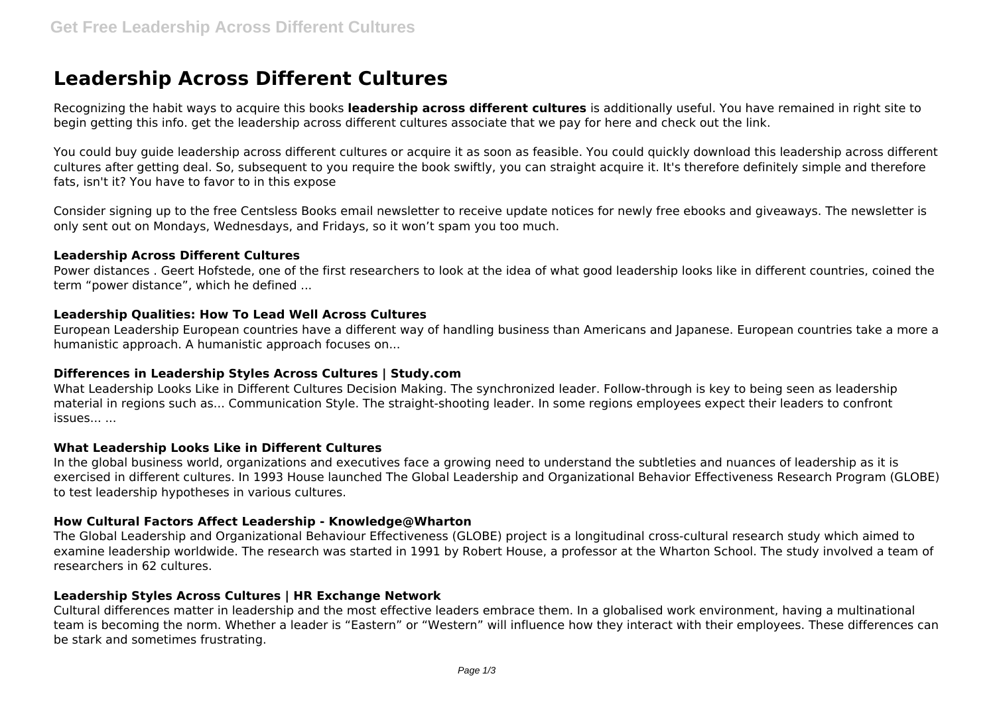# **Leadership Across Different Cultures**

Recognizing the habit ways to acquire this books **leadership across different cultures** is additionally useful. You have remained in right site to begin getting this info. get the leadership across different cultures associate that we pay for here and check out the link.

You could buy guide leadership across different cultures or acquire it as soon as feasible. You could quickly download this leadership across different cultures after getting deal. So, subsequent to you require the book swiftly, you can straight acquire it. It's therefore definitely simple and therefore fats, isn't it? You have to favor to in this expose

Consider signing up to the free Centsless Books email newsletter to receive update notices for newly free ebooks and giveaways. The newsletter is only sent out on Mondays, Wednesdays, and Fridays, so it won't spam you too much.

#### **Leadership Across Different Cultures**

Power distances . Geert Hofstede, one of the first researchers to look at the idea of what good leadership looks like in different countries, coined the term "power distance", which he defined ...

## **Leadership Qualities: How To Lead Well Across Cultures**

European Leadership European countries have a different way of handling business than Americans and Japanese. European countries take a more a humanistic approach. A humanistic approach focuses on...

## **Differences in Leadership Styles Across Cultures | Study.com**

What Leadership Looks Like in Different Cultures Decision Making. The synchronized leader. Follow-through is key to being seen as leadership material in regions such as... Communication Style. The straight-shooting leader. In some regions employees expect their leaders to confront issues... ...

## **What Leadership Looks Like in Different Cultures**

In the global business world, organizations and executives face a growing need to understand the subtleties and nuances of leadership as it is exercised in different cultures. In 1993 House launched The Global Leadership and Organizational Behavior Effectiveness Research Program (GLOBE) to test leadership hypotheses in various cultures.

## **How Cultural Factors Affect Leadership - Knowledge@Wharton**

The Global Leadership and Organizational Behaviour Effectiveness (GLOBE) project is a longitudinal cross-cultural research study which aimed to examine leadership worldwide. The research was started in 1991 by Robert House, a professor at the Wharton School. The study involved a team of researchers in 62 cultures.

#### **Leadership Styles Across Cultures | HR Exchange Network**

Cultural differences matter in leadership and the most effective leaders embrace them. In a globalised work environment, having a multinational team is becoming the norm. Whether a leader is "Eastern" or "Western" will influence how they interact with their employees. These differences can be stark and sometimes frustrating.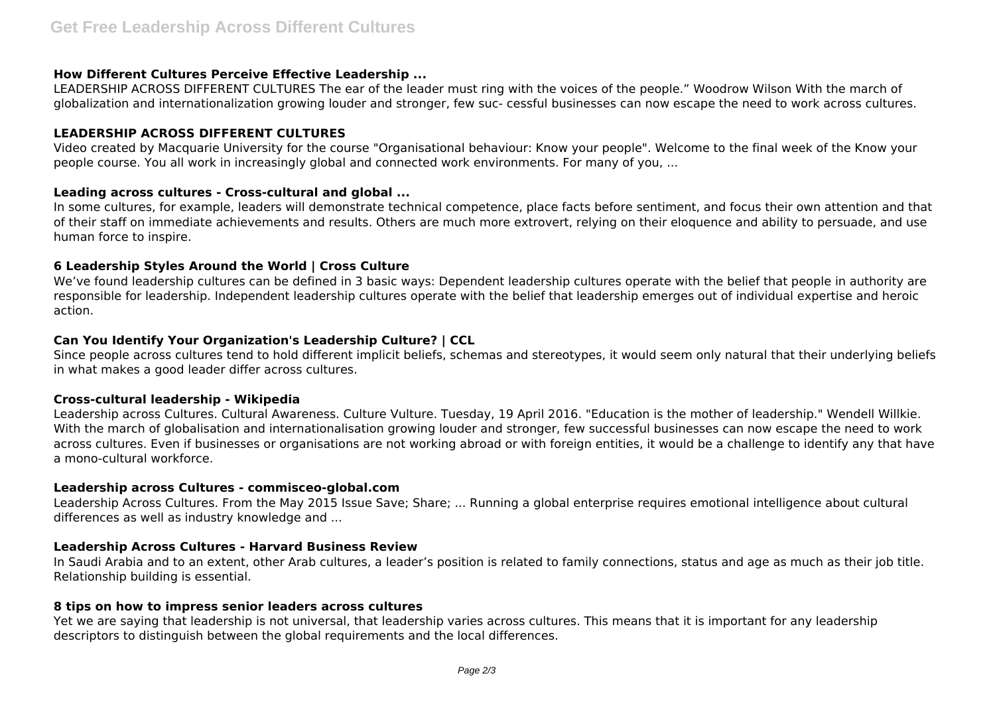## **How Different Cultures Perceive Effective Leadership ...**

LEADERSHIP ACROSS DIFFERENT CULTURES The ear of the leader must ring with the voices of the people." Woodrow Wilson With the march of globalization and internationalization growing louder and stronger, few suc- cessful businesses can now escape the need to work across cultures.

## **LEADERSHIP ACROSS DIFFERENT CULTURES**

Video created by Macquarie University for the course "Organisational behaviour: Know your people". Welcome to the final week of the Know your people course. You all work in increasingly global and connected work environments. For many of you, ...

# **Leading across cultures - Cross-cultural and global ...**

In some cultures, for example, leaders will demonstrate technical competence, place facts before sentiment, and focus their own attention and that of their staff on immediate achievements and results. Others are much more extrovert, relying on their eloquence and ability to persuade, and use human force to inspire.

# **6 Leadership Styles Around the World | Cross Culture**

We've found leadership cultures can be defined in 3 basic ways: Dependent leadership cultures operate with the belief that people in authority are responsible for leadership. Independent leadership cultures operate with the belief that leadership emerges out of individual expertise and heroic action.

# **Can You Identify Your Organization's Leadership Culture? | CCL**

Since people across cultures tend to hold different implicit beliefs, schemas and stereotypes, it would seem only natural that their underlying beliefs in what makes a good leader differ across cultures.

## **Cross-cultural leadership - Wikipedia**

Leadership across Cultures. Cultural Awareness. Culture Vulture. Tuesday, 19 April 2016. "Education is the mother of leadership." Wendell Willkie. With the march of globalisation and internationalisation growing louder and stronger, few successful businesses can now escape the need to work across cultures. Even if businesses or organisations are not working abroad or with foreign entities, it would be a challenge to identify any that have a mono-cultural workforce.

## **Leadership across Cultures - commisceo-global.com**

Leadership Across Cultures. From the May 2015 Issue Save; Share; ... Running a global enterprise requires emotional intelligence about cultural differences as well as industry knowledge and ...

# **Leadership Across Cultures - Harvard Business Review**

In Saudi Arabia and to an extent, other Arab cultures, a leader's position is related to family connections, status and age as much as their job title. Relationship building is essential.

## **8 tips on how to impress senior leaders across cultures**

Yet we are saying that leadership is not universal, that leadership varies across cultures. This means that it is important for any leadership descriptors to distinguish between the global requirements and the local differences.